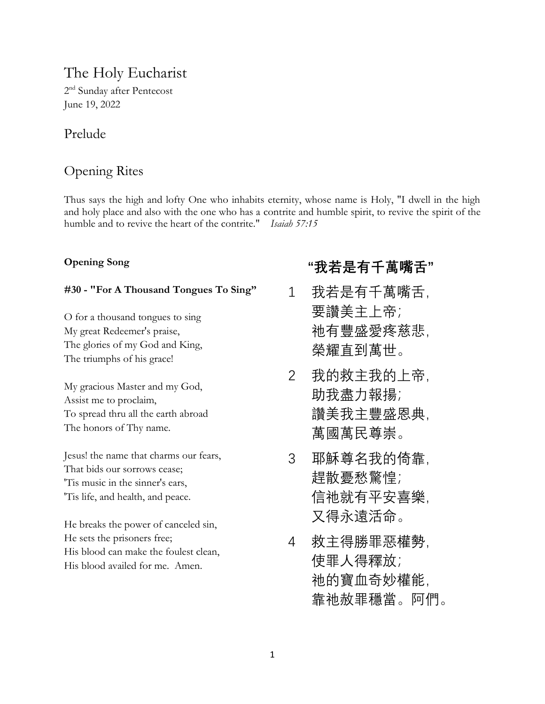# The Holy Eucharist

2<sup>nd</sup> Sunday after Pentecost June 19, 2022

# Prelude

# Opening Rites

Thus says the high and lofty One who inhabits eternity, whose name is Holy, "I dwell in the high and holy place and also with the one who has a contrite and humble spirit, to revive the spirit of the humble and to revive the heart of the contrite." *Isaiah 57:15*

# **Opening Song**

# **#30 - "For A Thousand Tongues To Sing"**

O for a thousand tongues to sing My great Redeemer's praise, The glories of my God and King, The triumphs of his grace!

My gracious Master and my God, Assist me to proclaim, To spread thru all the earth abroad The honors of Thy name.

Jesus! the name that charms our fears, That bids our sorrows cease; 'Tis music in the sinner's ears, 'Tis life, and health, and peace.

He breaks the power of canceled sin, He sets the prisoners free; His blood can make the foulest clean, His blood availed for me. Amen.

# **"我若是有千萬嘴舌"**

- 1 我若是有千萬嘴舌, 要讚美主上帝; 祂有豐盛愛疼慈悲, 榮耀直到萬世。
- 2 我的救主我的上帝, 助我盡力報揚; 讚美我主豐盛恩典, 萬國萬民尊崇。
- 3 耶穌尊名我的倚靠, 趕散憂愁驚惶; 信祂就有平安喜樂, 又得永遠活命。
- 4 救主得勝罪惡權勢, 使罪人得釋放; 祂的寶血奇妙權能, 靠祂赦罪穩當。阿們。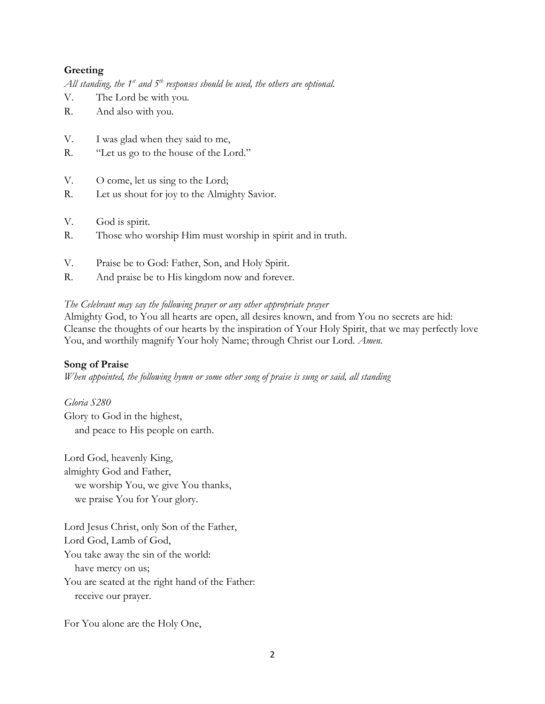# **Greeting**

*All standing, the 1st and 5th responses should be used, the others are optional.*

- V. The Lord be with you.
- R. And also with you.
- V. I was glad when they said to me,
- R. "Let us go to the house of the Lord."
- V. O come, let us sing to the Lord;
- R. Let us shout for joy to the Almighty Savior.
- V. God is spirit.
- R. Those who worship Him must worship in spirit and in truth.
- V. Praise be to God: Father, Son, and Holy Spirit.
- R. And praise be to His kingdom now and forever.

# *The Celebrant may say the following prayer or any other appropriate prayer*

Almighty God, to You all hearts are open, all desires known, and from You no secrets are hid: Cleanse the thoughts of our hearts by the inspiration of Your Holy Spirit, that we may perfectly love You, and worthily magnify Your holy Name; through Christ our Lord. *Amen.*

# **Song of Praise**

*When appointed, the following hymn or some other song of praise is sung or said, all standing*

# *Gloria S280*

Glory to God in the highest, and peace to His people on earth.

Lord God, heavenly King, almighty God and Father, we worship You, we give You thanks, we praise You for Your glory.

Lord Jesus Christ, only Son of the Father, Lord God, Lamb of God, You take away the sin of the world: have mercy on us; You are seated at the right hand of the Father: receive our prayer.

For You alone are the Holy One,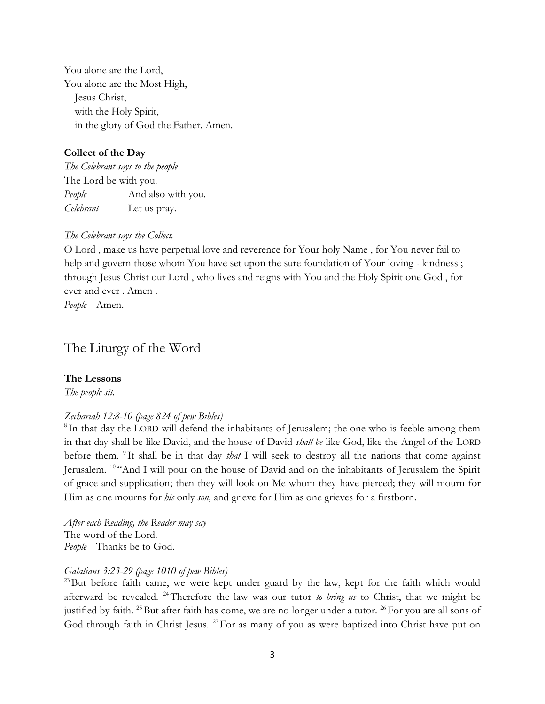You alone are the Lord, You alone are the Most High, Jesus Christ, with the Holy Spirit, in the glory of God the Father. Amen.

### **Collect of the Day**

*The Celebrant says to the people* The Lord be with you. *People* And also with you. *Celebrant* Let us pray.

### *The Celebrant says the Collect.*

O Lord , make us have perpetual love and reverence for Your holy Name , for You never fail to help and govern those whom You have set upon the sure foundation of Your loving - kindness; through Jesus Christ our Lord , who lives and reigns with You and the Holy Spirit one God , for ever and ever . Amen .

*People* Amen.

# The Liturgy of the Word

### **The Lessons**

*The people sit.* 

### *Zechariah 12:8-10 (page 824 of pew Bibles)*

<sup>8</sup> In that day the LORD will defend the inhabitants of Jerusalem; the one who is feeble among them in that day shall be like David, and the house of David *shall be* like God, like the Angel of the LORD before them. <sup>9</sup> It shall be in that day *that* I will seek to destroy all the nations that come against Jerusalem. <sup>10</sup> "And I will pour on the house of David and on the inhabitants of Jerusalem the Spirit of grace and supplication; then they will look on Me whom they have pierced; they will mourn for Him as one mourns for *his* only *son,* and grieve for Him as one grieves for a firstborn.

*After each Reading, the Reader may say* The word of the Lord. *People* Thanks be to God.

#### *Galatians 3:23-29 (page 1010 of pew Bibles)*

 $^{23}$ But before faith came, we were kept under guard by the law, kept for the faith which would afterward be revealed. <sup>24</sup>Therefore the law was our tutor *to bring us* to Christ, that we might be justified by faith. <sup>25</sup> But after faith has come, we are no longer under a tutor. <sup>26</sup> For you are all sons of God through faith in Christ Jesus. <sup>27</sup> For as many of you as were baptized into Christ have put on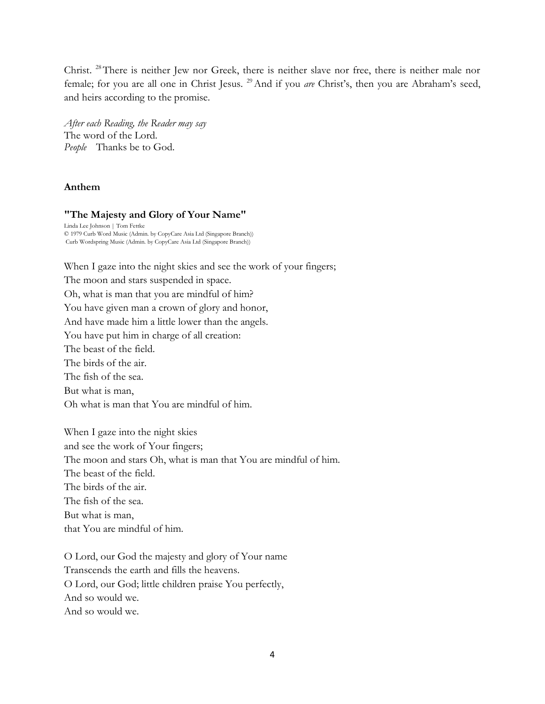Christ. <sup>28</sup>There is neither Jew nor Greek, there is neither slave nor free, there is neither male nor female; for you are all one in Christ Jesus. <sup>29</sup> And if you *are* Christ's, then you are Abraham's seed, and heirs according to the promise.

*After each Reading, the Reader may say* The word of the Lord. *People* Thanks be to God.

### **Anthem**

#### **"The Majesty and Glory of Your Name"**

Linda Lee Johnson | Tom Fettke © 1979 Curb Word Music (Admin. by CopyCare Asia Ltd (Singapore Branch)) Curb Wordspring Music (Admin. by CopyCare Asia Ltd (Singapore Branch))

When I gaze into the night skies and see the work of your fingers; The moon and stars suspended in space. Oh, what is man that you are mindful of him? You have given man a crown of glory and honor, And have made him a little lower than the angels. You have put him in charge of all creation: The beast of the field. The birds of the air. The fish of the sea. But what is man, Oh what is man that You are mindful of him.

When I gaze into the night skies and see the work of Your fingers; The moon and stars Oh, what is man that You are mindful of him. The beast of the field. The birds of the air. The fish of the sea. But what is man, that You are mindful of him.

O Lord, our God the majesty and glory of Your name Transcends the earth and fills the heavens. O Lord, our God; little children praise You perfectly, And so would we. And so would we.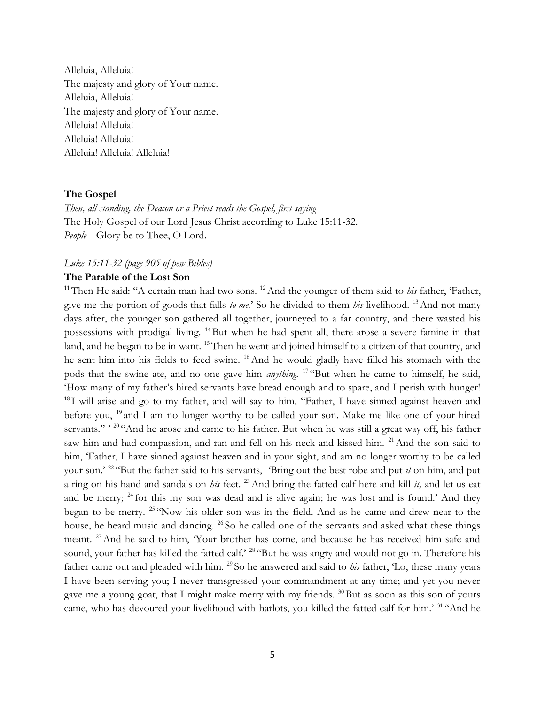Alleluia, Alleluia! The majesty and glory of Your name. Alleluia, Alleluia! The majesty and glory of Your name. Alleluia! Alleluia! Alleluia! Alleluia! Alleluia! Alleluia! Alleluia!

#### **The Gospel**

*Then, all standing, the Deacon or a Priest reads the Gospel, first saying* The Holy Gospel of our Lord Jesus Christ according to Luke 15:11-32. *People* Glory be to Thee, O Lord.

### *Luke 15:11-32 (page 905 of pew Bibles)*

### **The Parable of the Lost Son**

<sup>11</sup>Then He said: "A certain man had two sons. <sup>12</sup> And the younger of them said to *his* father, 'Father, give me the portion of goods that falls *to me.*' So he divided to them *his* livelihood. <sup>13</sup>And not many days after, the younger son gathered all together, journeyed to a far country, and there wasted his possessions with prodigal living. <sup>14</sup>But when he had spent all, there arose a severe famine in that land, and he began to be in want. <sup>15</sup>Then he went and joined himself to a citizen of that country, and he sent him into his fields to feed swine. <sup>16</sup>And he would gladly have filled his stomach with the pods that the swine ate, and no one gave him *anything*. <sup>17</sup> "But when he came to himself, he said, 'How many of my father's hired servants have bread enough and to spare, and I perish with hunger! <sup>18</sup> I will arise and go to my father, and will say to him, "Father, I have sinned against heaven and before you, <sup>19</sup> and I am no longer worthy to be called your son. Make me like one of your hired servants." <sup>20</sup> "And he arose and came to his father. But when he was still a great way off, his father saw him and had compassion, and ran and fell on his neck and kissed him.  $21$  And the son said to him, 'Father, I have sinned against heaven and in your sight, and am no longer worthy to be called your son.' <sup>22</sup> "But the father said to his servants, 'Bring out the best robe and put *it* on him, and put a ring on his hand and sandals on *his* feet. <sup>23</sup> And bring the fatted calf here and kill *it*, and let us eat and be merry; <sup>24</sup> for this my son was dead and is alive again; he was lost and is found.' And they began to be merry. <sup>25</sup> "Now his older son was in the field. And as he came and drew near to the house, he heard music and dancing. <sup>26</sup> So he called one of the servants and asked what these things meant. <sup>27</sup>And he said to him, 'Your brother has come, and because he has received him safe and sound, your father has killed the fatted calf.' <sup>28</sup> "But he was angry and would not go in. Therefore his father came out and pleaded with him. <sup>29</sup> So he answered and said to *his* father, 'Lo, these many years I have been serving you; I never transgressed your commandment at any time; and yet you never gave me a young goat, that I might make merry with my friends.  $30$  But as soon as this son of yours came, who has devoured your livelihood with harlots, you killed the fatted calf for him.' <sup>31</sup> "And he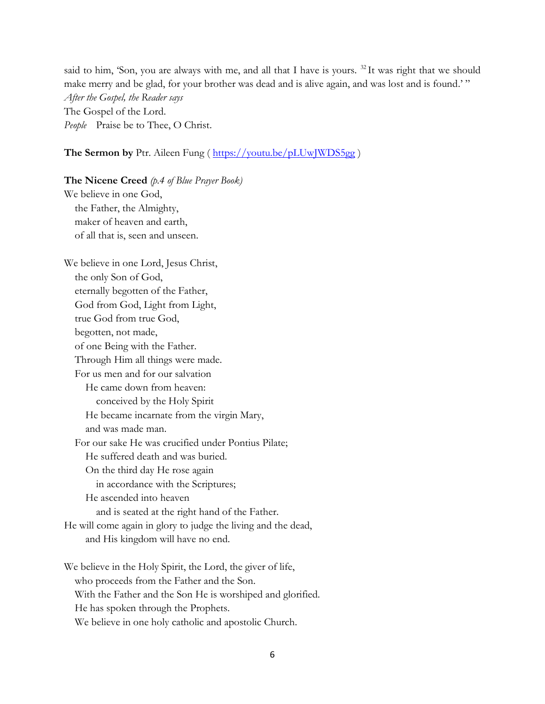said to him, 'Son, you are always with me, and all that I have is yours.<sup>32</sup>It was right that we should make merry and be glad, for your brother was dead and is alive again, and was lost and is found.'" *After the Gospel, the Reader says* The Gospel of the Lord. People Praise be to Thee, O Christ.

**The Sermon by** Ptr. Aileen Fung (<https://youtu.be/pLUwJWDS5gg> )

### **The Nicene Creed** *(p.4 of Blue Prayer Book)*

We believe in one God, the Father, the Almighty, maker of heaven and earth, of all that is, seen and unseen.

We believe in one Lord, Jesus Christ, the only Son of God, eternally begotten of the Father, God from God, Light from Light, true God from true God, begotten, not made, of one Being with the Father. Through Him all things were made. For us men and for our salvation He came down from heaven: conceived by the Holy Spirit He became incarnate from the virgin Mary, and was made man. For our sake He was crucified under Pontius Pilate; He suffered death and was buried. On the third day He rose again in accordance with the Scriptures; He ascended into heaven and is seated at the right hand of the Father. He will come again in glory to judge the living and the dead, and His kingdom will have no end. We believe in the Holy Spirit, the Lord, the giver of life, who proceeds from the Father and the Son. With the Father and the Son He is worshiped and glorified. He has spoken through the Prophets. We believe in one holy catholic and apostolic Church.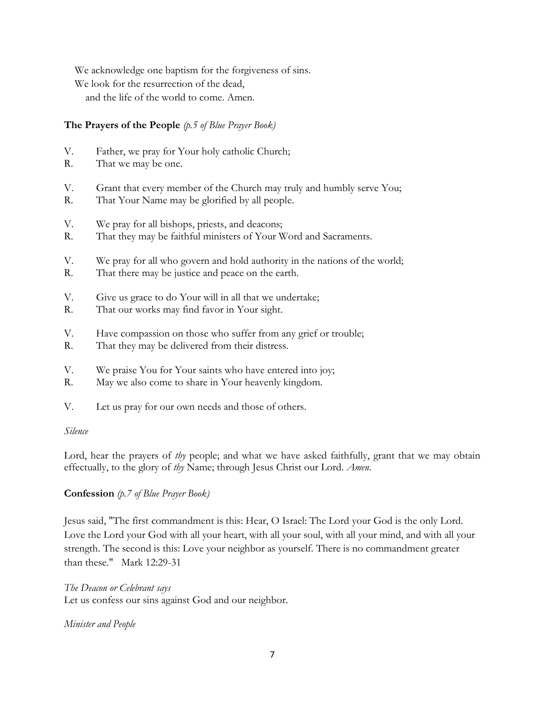We acknowledge one baptism for the forgiveness of sins. We look for the resurrection of the dead,

# and the life of the world to come. Amen.

# **The Prayers of the People** *(p.5 of Blue Prayer Book)*

- V. Father, we pray for Your holy catholic Church;
- R. That we may be one.
- V. Grant that every member of the Church may truly and humbly serve You;
- R. That Your Name may be glorified by all people.
- V. We pray for all bishops, priests, and deacons;
- R. That they may be faithful ministers of Your Word and Sacraments.
- V. We pray for all who govern and hold authority in the nations of the world;
- R. That there may be justice and peace on the earth.
- V. Give us grace to do Your will in all that we undertake;
- R. That our works may find favor in Your sight.
- V. Have compassion on those who suffer from any grief or trouble;
- R. That they may be delivered from their distress.
- V. We praise You for Your saints who have entered into joy;
- R. May we also come to share in Your heavenly kingdom.
- V. Let us pray for our own needs and those of others.

# *Silence*

Lord, hear the prayers of *thy* people; and what we have asked faithfully, grant that we may obtain effectually, to the glory of *thy* Name; through Jesus Christ our Lord. *Amen.*

# **Confession** *(p.7 of Blue Prayer Book)*

Jesus said, "The first commandment is this: Hear, O Israel: The Lord your God is the only Lord. Love the Lord your God with all your heart, with all your soul, with all your mind, and with all your strength. The second is this: Love your neighbor as yourself. There is no commandment greater than these." Mark 12:29-31

*The Deacon or Celebrant says* Let us confess our sins against God and our neighbor.

*Minister and People*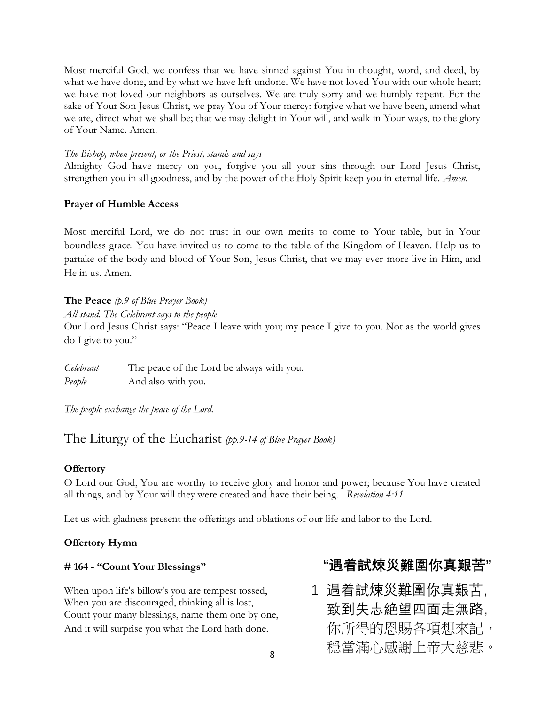Most merciful God, we confess that we have sinned against You in thought, word, and deed, by what we have done, and by what we have left undone. We have not loved You with our whole heart; we have not loved our neighbors as ourselves. We are truly sorry and we humbly repent. For the sake of Your Son Jesus Christ, we pray You of Your mercy: forgive what we have been, amend what we are, direct what we shall be; that we may delight in Your will, and walk in Your ways, to the glory of Your Name. Amen.

### *The Bishop, when present, or the Priest, stands and says*

Almighty God have mercy on you, forgive you all your sins through our Lord Jesus Christ, strengthen you in all goodness, and by the power of the Holy Spirit keep you in eternal life. *Amen.*

# **Prayer of Humble Access**

Most merciful Lord, we do not trust in our own merits to come to Your table, but in Your boundless grace. You have invited us to come to the table of the Kingdom of Heaven. Help us to partake of the body and blood of Your Son, Jesus Christ, that we may ever-more live in Him, and He in us. Amen.

**The Peace** *(p.9 of Blue Prayer Book)*

*All stand. The Celebrant says to the people*

Our Lord Jesus Christ says: "Peace I leave with you; my peace I give to you. Not as the world gives do I give to you."

*Celebrant* The peace of the Lord be always with you. *People* And also with you.

*The people exchange the peace of the Lord.*

# The Liturgy of the Eucharist *(pp.9-14 of Blue Prayer Book)*

# **Offertory**

O Lord our God, You are worthy to receive glory and honor and power; because You have created all things, and by Your will they were created and have their being. *Revelation 4:11*

Let us with gladness present the offerings and oblations of our life and labor to the Lord.

# **Offertory Hymn**

# **# 164 - "Count Your Blessings"**

When upon life's billow's you are tempest tossed, When you are discouraged, thinking all is lost, Count your many blessings, name them one by one, And it will surprise you what the Lord hath done.

# **"遇着試煉災難圍你真艱苦"**

1 遇着試煉災難圍你真艱苦, 致到失志絶望四面走無路, 你所得的恩賜各項想來記, 穏當滿心感謝上帝大慈悲。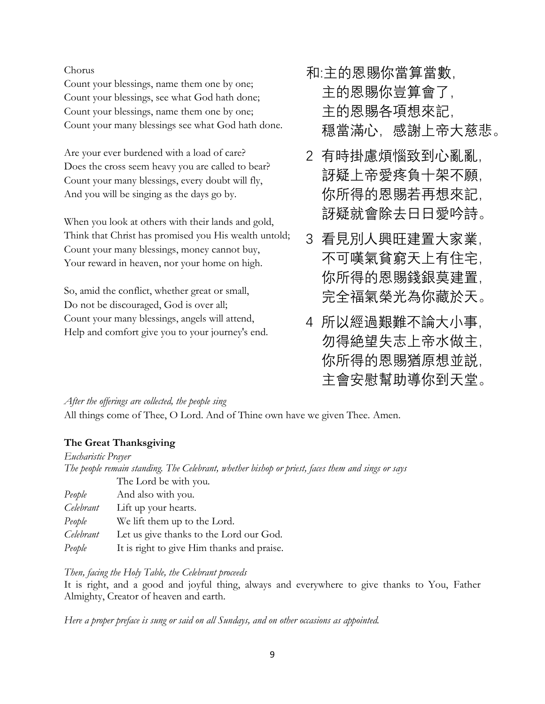### Chorus

Count your blessings, name them one by one; Count your blessings, see what God hath done; Count your blessings, name them one by one; Count your many blessings see what God hath done.

Are your ever burdened with a load of care? Does the cross seem heavy you are called to bear? Count your many blessings, every doubt will fly, And you will be singing as the days go by.

When you look at others with their lands and gold, Think that Christ has promised you His wealth untold; Count your many blessings, money cannot buy, Your reward in heaven, nor your home on high.

So, amid the conflict, whether great or small, Do not be discouraged, God is over all; Count your many blessings, angels will attend, Help and comfort give you to your journey's end.

- 和:主的恩賜你當算當數, 主的恩賜你豈算會了, 主的恩賜各項想來記, 穏當滿心,感謝上帝大慈悲。
- 2 有時掛慮煩惱致到心亂亂, 訝疑上帝愛疼負十架不願, 你所得的恩賜若再想來記, 訝疑就會除去日日愛吟詩。
- 3 看見別人興旺建置大家業. 不可嘆氣貧窮天上有住宅, 你所得的恩賜錢銀莫建置, 完全福氣榮光為你藏於天。
- 4 所以經過艱難不論大小事, 勿得絶望失志上帝水做主, 你所得的恩賜猶原想並説, 主會安慰幫助導你到天堂。

*After the offerings are collected, the people sing*

All things come of Thee, O Lord. And of Thine own have we given Thee. Amen.

# **The Great Thanksgiving**

*Eucharistic Prayer The people remain standing. The Celebrant, whether bishop or priest, faces them and sings or says* The Lord be with you. *People* And also with you. *Celebrant* Lift up your hearts. *People* We lift them up to the Lord. *Celebrant* Let us give thanks to the Lord our God. *People* It is right to give Him thanks and praise.

# *Then, facing the Holy Table, the Celebrant proceeds*

It is right, and a good and joyful thing, always and everywhere to give thanks to You, Father Almighty, Creator of heaven and earth.

*Here a proper preface is sung or said on all Sundays, and on other occasions as appointed.*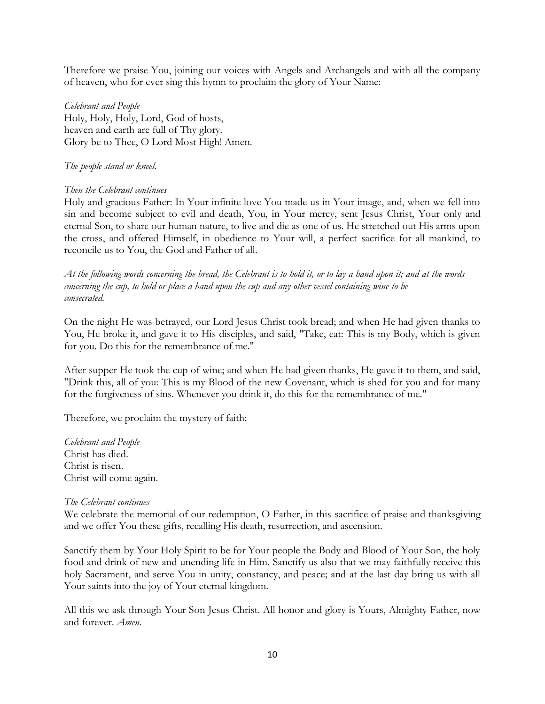Therefore we praise You, joining our voices with Angels and Archangels and with all the company of heaven, who for ever sing this hymn to proclaim the glory of Your Name:

# *Celebrant and People* Holy, Holy, Holy, Lord, God of hosts, heaven and earth are full of Thy glory. Glory be to Thee, O Lord Most High! Amen.

# *The people stand or kneel.*

# *Then the Celebrant continues*

Holy and gracious Father: In Your infinite love You made us in Your image, and, when we fell into sin and become subject to evil and death, You, in Your mercy, sent Jesus Christ, Your only and eternal Son, to share our human nature, to live and die as one of us. He stretched out His arms upon the cross, and offered Himself, in obedience to Your will, a perfect sacrifice for all mankind, to reconcile us to You, the God and Father of all.

*At the following words concerning the bread, the Celebrant is to hold it, or to lay a hand upon it; and at the words concerning the cup, to hold or place a hand upon the cup and any other vessel containing wine to be consecrated.*

On the night He was betrayed, our Lord Jesus Christ took bread; and when He had given thanks to You, He broke it, and gave it to His disciples, and said, "Take, eat: This is my Body, which is given for you. Do this for the remembrance of me."

After supper He took the cup of wine; and when He had given thanks, He gave it to them, and said, "Drink this, all of you: This is my Blood of the new Covenant, which is shed for you and for many for the forgiveness of sins. Whenever you drink it, do this for the remembrance of me."

Therefore, we proclaim the mystery of faith:

*Celebrant and People* Christ has died. Christ is risen. Christ will come again.

# *The Celebrant continues*

We celebrate the memorial of our redemption, O Father, in this sacrifice of praise and thanksgiving and we offer You these gifts, recalling His death, resurrection, and ascension.

Sanctify them by Your Holy Spirit to be for Your people the Body and Blood of Your Son, the holy food and drink of new and unending life in Him. Sanctify us also that we may faithfully receive this holy Sacrament, and serve You in unity, constancy, and peace; and at the last day bring us with all Your saints into the joy of Your eternal kingdom.

All this we ask through Your Son Jesus Christ. All honor and glory is Yours, Almighty Father, now and forever. *Amen.*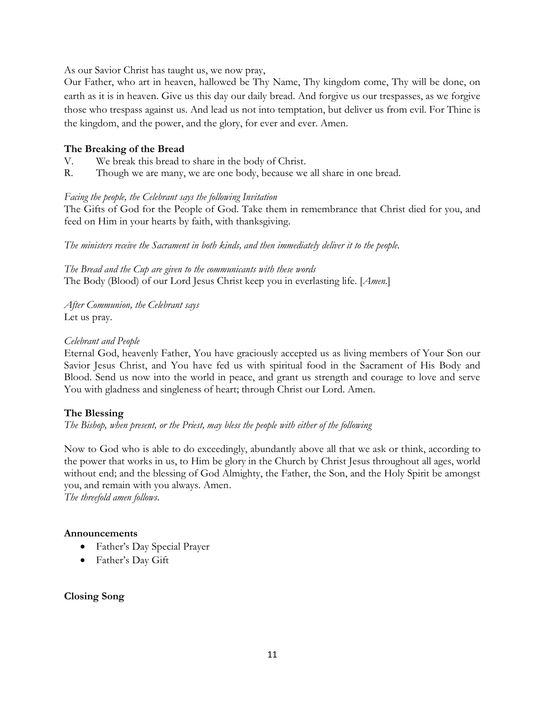As our Savior Christ has taught us, we now pray,

Our Father, who art in heaven, hallowed be Thy Name, Thy kingdom come, Thy will be done, on earth as it is in heaven. Give us this day our daily bread. And forgive us our trespasses, as we forgive those who trespass against us. And lead us not into temptation, but deliver us from evil. For Thine is the kingdom, and the power, and the glory, for ever and ever. Amen.

### **The Breaking of the Bread**

- V. We break this bread to share in the body of Christ.
- R. Though we are many, we are one body, because we all share in one bread.

### *Facing the people, the Celebrant says the following Invitation*

The Gifts of God for the People of God. Take them in remembrance that Christ died for you, and feed on Him in your hearts by faith, with thanksgiving.

*The ministers receive the Sacrament in both kinds, and then immediately deliver it to the people.*

*The Bread and the Cup are given to the communicants with these words* The Body (Blood) of our Lord Jesus Christ keep you in everlasting life. [*Amen.*]

*After Communion, the Celebrant says* Let us pray.

### *Celebrant and People*

Eternal God, heavenly Father, You have graciously accepted us as living members of Your Son our Savior Jesus Christ, and You have fed us with spiritual food in the Sacrament of His Body and Blood. Send us now into the world in peace, and grant us strength and courage to love and serve You with gladness and singleness of heart; through Christ our Lord. Amen.

# **The Blessing**

*The Bishop, when present, or the Priest, may bless the people with either of the following*

Now to God who is able to do exceedingly, abundantly above all that we ask or think, according to the power that works in us, to Him be glory in the Church by Christ Jesus throughout all ages, world without end; and the blessing of God Almighty, the Father, the Son, and the Holy Spirit be amongst you, and remain with you always. Amen. *The threefold amen follows.*

# **Announcements**

- Father's Day Special Prayer
- Father's Day Gift

# **Closing Song**